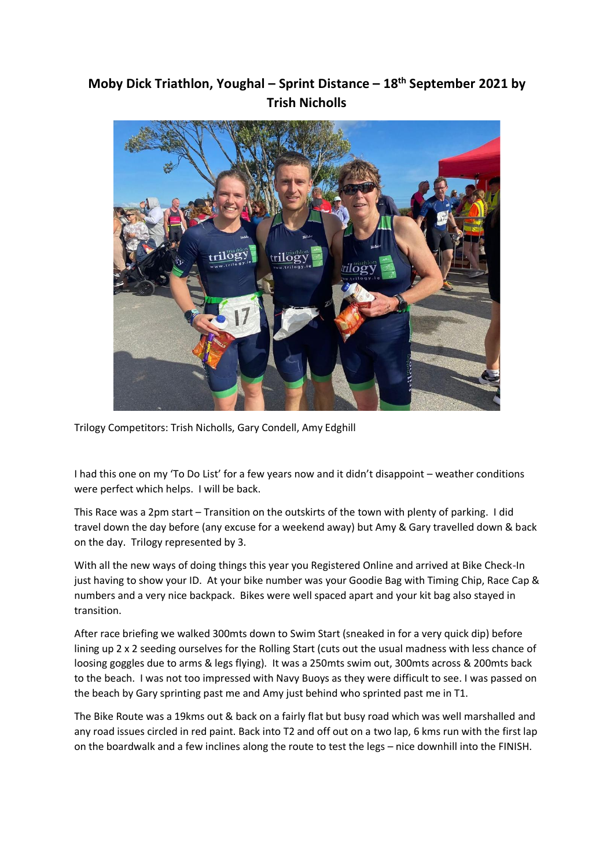## **Moby Dick Triathlon, Youghal – Sprint Distance – 18th September 2021 by Trish Nicholls**



Trilogy Competitors: Trish Nicholls, Gary Condell, Amy Edghill

I had this one on my 'To Do List' for a few years now and it didn't disappoint – weather conditions were perfect which helps. I will be back.

This Race was a 2pm start – Transition on the outskirts of the town with plenty of parking. I did travel down the day before (any excuse for a weekend away) but Amy & Gary travelled down & back on the day. Trilogy represented by 3.

With all the new ways of doing things this year you Registered Online and arrived at Bike Check-In just having to show your ID. At your bike number was your Goodie Bag with Timing Chip, Race Cap & numbers and a very nice backpack. Bikes were well spaced apart and your kit bag also stayed in transition.

After race briefing we walked 300mts down to Swim Start (sneaked in for a very quick dip) before lining up 2 x 2 seeding ourselves for the Rolling Start (cuts out the usual madness with less chance of loosing goggles due to arms & legs flying). It was a 250mts swim out, 300mts across & 200mts back to the beach. I was not too impressed with Navy Buoys as they were difficult to see. I was passed on the beach by Gary sprinting past me and Amy just behind who sprinted past me in T1.

The Bike Route was a 19kms out & back on a fairly flat but busy road which was well marshalled and any road issues circled in red paint. Back into T2 and off out on a two lap, 6 kms run with the first lap on the boardwalk and a few inclines along the route to test the legs – nice downhill into the FINISH.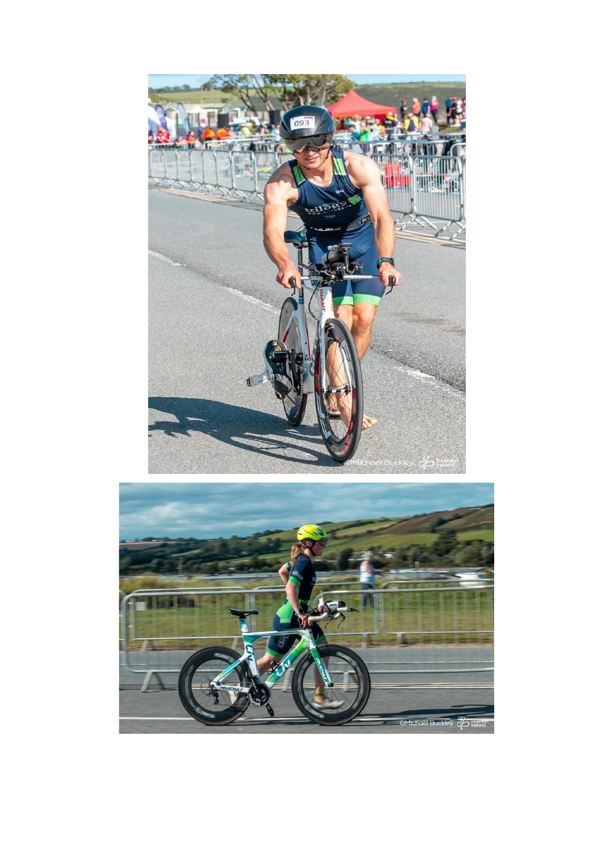